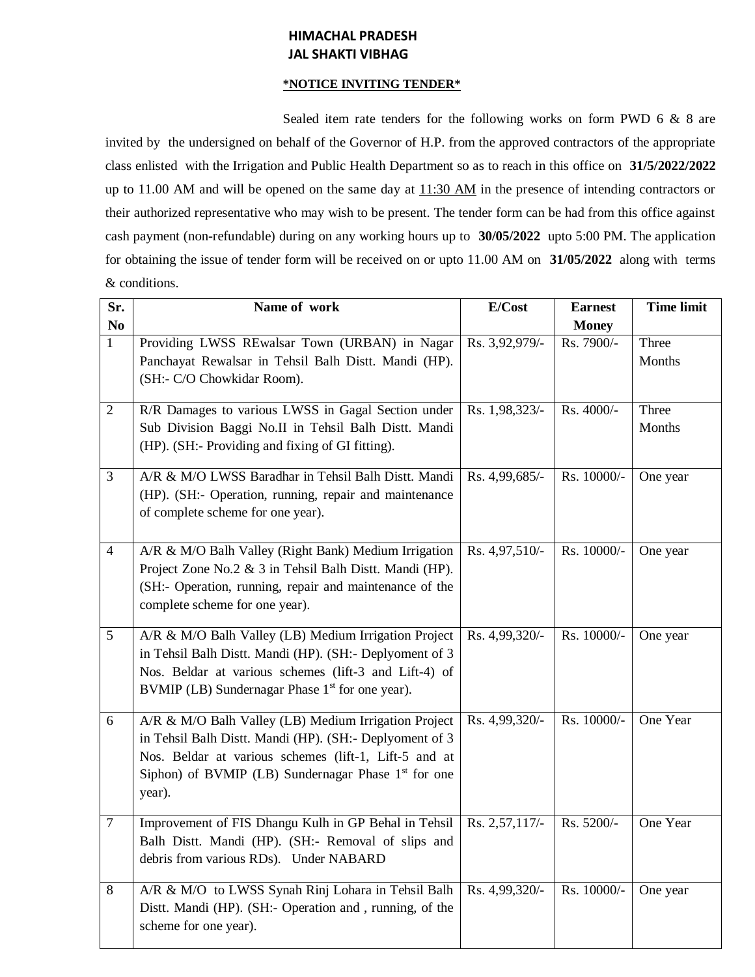## **HIMACHAL PRADESH JAL SHAKTI VIBHAG**

## **\*NOTICE INVITING TENDER\***

Sealed item rate tenders for the following works on form PWD 6 & 8 are invited by the undersigned on behalf of the Governor of H.P. from the approved contractors of the appropriate class enlisted with the Irrigation and Public Health Department so as to reach in this office on **31/5/2022/2022** up to 11.00 AM and will be opened on the same day at  $11:30$  AM in the presence of intending contractors or their authorized representative who may wish to be present. The tender form can be had from this office against cash payment (non-refundable) during on any working hours up to **30/05/2022** upto 5:00 PM. The application for obtaining the issue of tender form will be received on or upto 11.00 AM on **31/05/2022** along with terms & conditions.

| Sr.            | Name of work                                                                                                                                                                                                                                | E/Cost           | <b>Earnest</b> | <b>Time limit</b> |
|----------------|---------------------------------------------------------------------------------------------------------------------------------------------------------------------------------------------------------------------------------------------|------------------|----------------|-------------------|
| N <sub>0</sub> |                                                                                                                                                                                                                                             |                  | <b>Money</b>   |                   |
| $\mathbf{1}$   | Providing LWSS REwalsar Town (URBAN) in Nagar<br>Panchayat Rewalsar in Tehsil Balh Distt. Mandi (HP).<br>(SH:- C/O Chowkidar Room).                                                                                                         | Rs. 3,92,979/-   | Rs. 7900/-     | Three<br>Months   |
| $\overline{2}$ | R/R Damages to various LWSS in Gagal Section under<br>Sub Division Baggi No.II in Tehsil Balh Distt. Mandi<br>(HP). (SH:- Providing and fixing of GI fitting).                                                                              | Rs. 1,98,323/-   | Rs. 4000/-     | Three<br>Months   |
| 3              | A/R & M/O LWSS Baradhar in Tehsil Balh Distt. Mandi<br>(HP). (SH:- Operation, running, repair and maintenance<br>of complete scheme for one year).                                                                                          | Rs. 4,99,685/-   | Rs. 10000/-    | One year          |
| $\overline{4}$ | A/R & M/O Balh Valley (Right Bank) Medium Irrigation<br>Project Zone No.2 & 3 in Tehsil Balh Distt. Mandi (HP).<br>(SH:- Operation, running, repair and maintenance of the<br>complete scheme for one year).                                | Rs. 4,97,510/-   | Rs. 10000/-    | One year          |
| 5              | A/R & M/O Balh Valley (LB) Medium Irrigation Project<br>in Tehsil Balh Distt. Mandi (HP). (SH:- Deplyoment of 3<br>Nos. Beldar at various schemes (lift-3 and Lift-4) of<br>BVMIP (LB) Sundernagar Phase 1 <sup>st</sup> for one year).     | Rs. 4,99,320/-   | Rs. 10000/-    | One year          |
| 6              | A/R & M/O Balh Valley (LB) Medium Irrigation Project<br>in Tehsil Balh Distt. Mandi (HP). (SH:- Deplyoment of 3<br>Nos. Beldar at various schemes (lift-1, Lift-5 and at<br>Siphon) of BVMIP (LB) Sundernagar Phase $1st$ for one<br>year). | Rs. 4,99,320/-   | Rs. 10000/-    | One Year          |
| $\overline{7}$ | Improvement of FIS Dhangu Kulh in GP Behal in Tehsil<br>Balh Distt. Mandi (HP). (SH:- Removal of slips and<br>debris from various RDs). Under NABARD                                                                                        | Rs. 2,57,117/-   | Rs. 5200/-     | One Year          |
| 8              | A/R & M/O to LWSS Synah Rinj Lohara in Tehsil Balh<br>Distt. Mandi (HP). (SH:- Operation and, running, of the<br>scheme for one year).                                                                                                      | Rs. $4,99,320/-$ | Rs. 10000/-    | One year          |